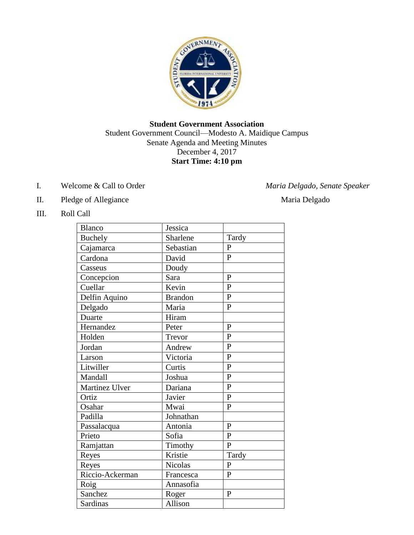

# **Student Government Association** Student Government Council—Modesto A. Maidique Campus Senate Agenda and Meeting Minutes December 4, 2017 **Start Time: 4:10 pm**

I. Welcome & Call to Order *Maria Delgado, Senate Speaker*

- II. Pledge of Allegiance Maria Delgado
	-

III. Roll Call

| Blanco          | Jessica        |                |
|-----------------|----------------|----------------|
| <b>Buchely</b>  | Sharlene       | Tardy          |
| Cajamarca       | Sebastian      | $\overline{P}$ |
| Cardona         | David          | $\overline{P}$ |
| Casseus         | Doudy          |                |
| Concepcion      | Sara           | $\mathbf{P}$   |
| Cuellar         | Kevin          | $\overline{P}$ |
| Delfin Aquino   | <b>Brandon</b> | $\overline{P}$ |
| Delgado         | Maria          | $\mathbf{P}$   |
| Duarte          | Hiram          |                |
| Hernandez       | Peter          | $\mathbf{P}$   |
| Holden          | Trevor         | $\mathbf{P}$   |
| Jordan          | Andrew         | $\mathbf{P}$   |
| Larson          | Victoria       | $\overline{P}$ |
| Litwiller       | Curtis         | $\overline{P}$ |
| Mandall         | Joshua         | $\mathbf{P}$   |
| Martinez Ulver  | Dariana        | $\overline{P}$ |
| Ortiz           | Javier         | $\overline{P}$ |
| Osahar          | Mwai           | $\mathbf{P}$   |
| Padilla         | Johnathan      |                |
| Passalacqua     | Antonia        | $\overline{P}$ |
| Prieto          | Sofia          | $\mathbf{P}$   |
| Ramjattan       | Timothy        | $\mathbf{P}$   |
| Reyes           | Kristie        | Tardy          |
| Reyes           | <b>Nicolas</b> | $\mathbf{P}$   |
| Riccio-Ackerman | Francesca      | $\mathbf{P}$   |
| Roig            | Annasofia      |                |
| Sanchez         | Roger          | $\overline{P}$ |
| Sardinas        | Allison        |                |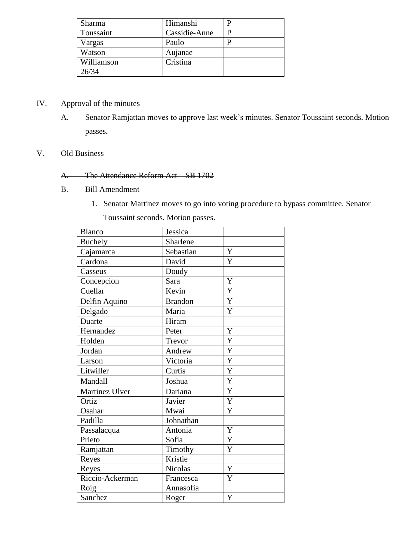| Sharma     | Himanshi      |  |
|------------|---------------|--|
| Toussaint  | Cassidie-Anne |  |
| Vargas     | Paulo         |  |
| Watson     | Aujanae       |  |
| Williamson | Cristina      |  |
| 26/34      |               |  |

### IV. Approval of the minutes

A. Senator Ramjattan moves to approve last week's minutes. Senator Toussaint seconds. Motion passes.

## V. Old Business

## A. The Attendance Reform Act – SB 1702

- B. Bill Amendment
	- 1. Senator Martinez moves to go into voting procedure to bypass committee. Senator

Toussaint seconds. Motion passes.

| <b>Blanco</b>   | Jessica        |                |
|-----------------|----------------|----------------|
| Buchely         | Sharlene       |                |
| Cajamarca       | Sebastian      | $\mathbf Y$    |
| Cardona         | David          | Y              |
| Casseus         | Doudy          |                |
| Concepcion      | Sara           | Y              |
| Cuellar         | Kevin          | Y              |
| Delfin Aquino   | <b>Brandon</b> | $\overline{Y}$ |
| Delgado         | Maria          | Y              |
| Duarte          | Hiram          |                |
| Hernandez       | Peter          | Y              |
| Holden          | Trevor         | Y              |
| Jordan          | Andrew         | Y              |
| Larson          | Victoria       | Y              |
| Litwiller       | Curtis         | Y              |
| Mandall         | Joshua         | Y              |
| Martinez Ulver  | Dariana        | Y              |
| Ortiz           | Javier         | $\mathbf Y$    |
| Osahar          | Mwai           | $\overline{Y}$ |
| Padilla         | Johnathan      |                |
| Passalacqua     | Antonia        | Y              |
| Prieto          | Sofia          | Y              |
| Ramjattan       | Timothy        | Y              |
| Reyes           | Kristie        |                |
| Reyes           | Nicolas        | Y              |
| Riccio-Ackerman | Francesca      | Y              |
| Roig            | Annasofia      |                |
| Sanchez         | Roger          | Y              |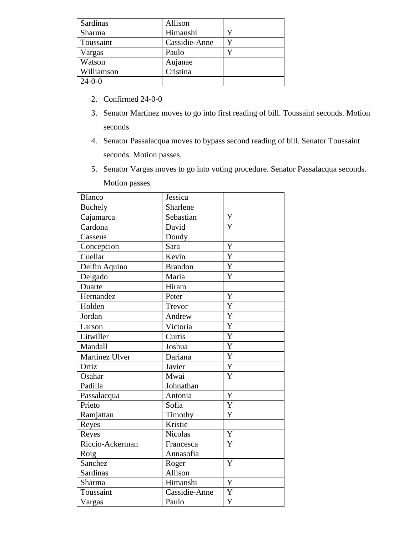| Sardinas     | Allison       |   |
|--------------|---------------|---|
| Sharma       | Himanshi      |   |
| Toussaint    | Cassidie-Anne |   |
| Vargas       | Paulo         | v |
| Watson       | Aujanae       |   |
| Williamson   | Cristina      |   |
| $24 - 0 - 0$ |               |   |

- 2. Confirmed 24-0-0
- 3. Senator Martinez moves to go into first reading of bill. Toussaint seconds. Motion seconds
- 4. Senator Passalacqua moves to bypass second reading of bill. Senator Toussaint seconds. Motion passes.
- 5. Senator Vargas moves to go into voting procedure. Senator Passalacqua seconds. Motion passes.

| <b>Blanco</b>   | Jessica        |                |
|-----------------|----------------|----------------|
| <b>Buchely</b>  | Sharlene       |                |
| Cajamarca       | Sebastian      | Y              |
| Cardona         | David          | Y              |
| Casseus         | Doudy          |                |
| Concepcion      | Sara           | Y              |
| Cuellar         | Kevin          | Y              |
| Delfin Aquino   | <b>Brandon</b> | $\overline{Y}$ |
| Delgado         | Maria          | Y              |
| Duarte          | Hiram          |                |
| Hernandez       | Peter          | Y              |
| Holden          | Trevor         | Y              |
| Jordan          | Andrew         | Y              |
| Larson          | Victoria       | Y              |
| Litwiller       | Curtis         | Y              |
| Mandall         | Joshua         | $\overline{Y}$ |
| Martinez Ulver  | Dariana        | Y              |
| Ortiz           | Javier         | Y              |
| Osahar          | Mwai           | Y              |
| Padilla         | Johnathan      |                |
| Passalacqua     | Antonia        | Y              |
| Prieto          | Sofia          | Y              |
| Ramjattan       | Timothy        | Y              |
| Reyes           | Kristie        |                |
| Reyes           | <b>Nicolas</b> | Y              |
| Riccio-Ackerman | Francesca      | Y              |
| Roig            | Annasofia      |                |
| Sanchez         | Roger          | Y              |
| <b>Sardinas</b> | Allison        |                |
| Sharma          | Himanshi       | Y              |
| Toussaint       | Cassidie-Anne  | Y              |
| Vargas          | Paulo          | Y              |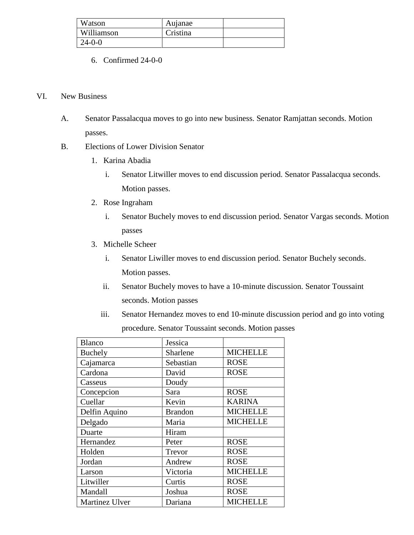| Watson       | Aujanae  |  |
|--------------|----------|--|
| Williamson   | Cristina |  |
| $24 - 0 - 0$ |          |  |

6. Confirmed 24-0-0

#### VI. New Business

- A. Senator Passalacqua moves to go into new business. Senator Ramjattan seconds. Motion passes.
- B. Elections of Lower Division Senator
	- 1. Karina Abadia
		- i. Senator Litwiller moves to end discussion period. Senator Passalacqua seconds. Motion passes.
	- 2. Rose Ingraham
		- i. Senator Buchely moves to end discussion period. Senator Vargas seconds. Motion passes
	- 3. Michelle Scheer
		- i. Senator Liwiller moves to end discussion period. Senator Buchely seconds. Motion passes.
		- ii. Senator Buchely moves to have a 10-minute discussion. Senator Toussaint seconds. Motion passes
		- iii. Senator Hernandez moves to end 10-minute discussion period and go into voting procedure. Senator Toussaint seconds. Motion passes

| <b>Blanco</b>         | Jessica        |                 |
|-----------------------|----------------|-----------------|
| Buchely               | Sharlene       | <b>MICHELLE</b> |
| Cajamarca             | Sebastian      | <b>ROSE</b>     |
| Cardona               | David          | <b>ROSE</b>     |
| Casseus               | Doudy          |                 |
| Concepcion            | Sara           | <b>ROSE</b>     |
| Cuellar               | Kevin          | <b>KARINA</b>   |
| Delfin Aquino         | <b>Brandon</b> | <b>MICHELLE</b> |
| Delgado               | Maria          | <b>MICHELLE</b> |
| Duarte                | Hiram          |                 |
| Hernandez             | Peter          | <b>ROSE</b>     |
| Holden                | Trevor         | <b>ROSE</b>     |
| Jordan                | Andrew         | <b>ROSE</b>     |
| Larson                | Victoria       | <b>MICHELLE</b> |
| Litwiller             | Curtis         | <b>ROSE</b>     |
| Mandall               | Joshua         | <b>ROSE</b>     |
| <b>Martinez Ulver</b> | Dariana        | <b>MICHELLE</b> |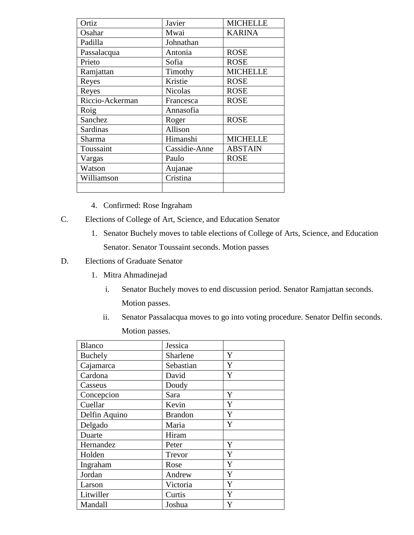| Ortiz           | Javier         | <b>MICHELLE</b> |
|-----------------|----------------|-----------------|
| Osahar          | Mwai           | <b>KARINA</b>   |
| Padilla         | Johnathan      |                 |
| Passalacqua     | Antonia        | <b>ROSE</b>     |
| Prieto          | Sofia          | <b>ROSE</b>     |
| Ramjattan       | Timothy        | <b>MICHELLE</b> |
| Reyes           | Kristie        | <b>ROSE</b>     |
| Reyes           | <b>Nicolas</b> | <b>ROSE</b>     |
| Riccio-Ackerman | Francesca      | <b>ROSE</b>     |
| Roig            | Annasofia      |                 |
| Sanchez         | Roger          | <b>ROSE</b>     |
| Sardinas        | Allison        |                 |
| Sharma          | Himanshi       | <b>MICHELLE</b> |
| Toussaint       | Cassidie-Anne  | <b>ABSTAIN</b>  |
| Vargas          | Paulo          | <b>ROSE</b>     |
| Watson          | Aujanae        |                 |
| Williamson      | Cristina       |                 |
|                 |                |                 |

- 4. Confirmed: Rose Ingraham
- C. Elections of College of Art, Science, and Education Senator
	- 1. Senator Buchely moves to table elections of College of Arts, Science, and Education Senator. Senator Toussaint seconds. Motion passes

### D. Elections of Graduate Senator

- 1. Mitra Ahmadinejad
	- i. Senator Buchely moves to end discussion period. Senator Ramjattan seconds. Motion passes.
	- ii. Senator Passalacqua moves to go into voting procedure. Senator Delfin seconds. Motion passes.

| <b>Blanco</b> | Jessica        |   |
|---------------|----------------|---|
| Buchely       | Sharlene       | Y |
| Cajamarca     | Sebastian      | Y |
| Cardona       | David          | Y |
| Casseus       | Doudy          |   |
| Concepcion    | Sara           | Y |
| Cuellar       | Kevin          | Y |
| Delfin Aquino | <b>Brandon</b> | Y |
| Delgado       | Maria          | Y |
| Duarte        | Hiram          |   |
| Hernandez     | Peter          | Y |
| Holden        | Trevor         | Y |
| Ingraham      | Rose           | Y |
| Jordan        | Andrew         | Y |
| Larson        | Victoria       | Y |
| Litwiller     | Curtis         | Y |
| Mandall       | Joshua         | Y |